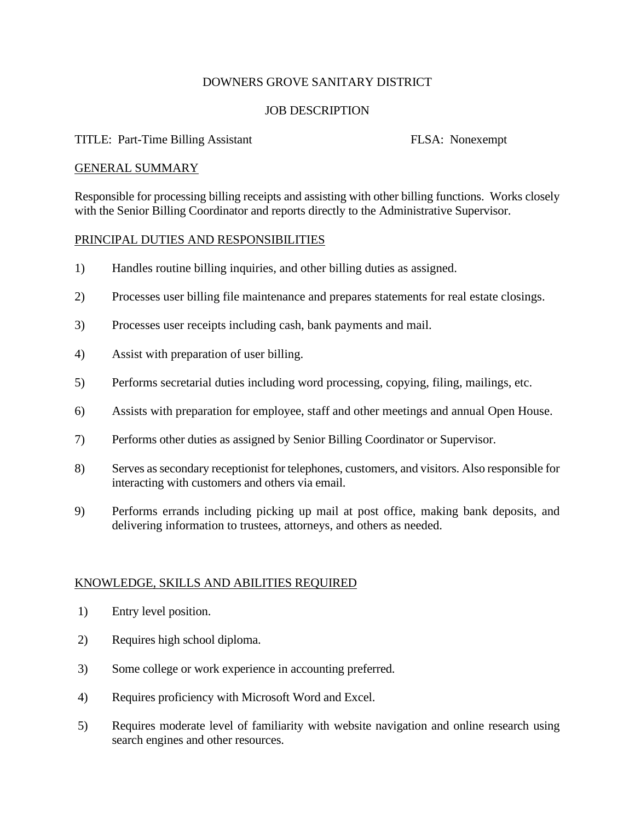# DOWNERS GROVE SANITARY DISTRICT

# JOB DESCRIPTION

# TITLE: Part-Time Billing Assistant FLSA: Nonexempt

#### GENERAL SUMMARY

Responsible for processing billing receipts and assisting with other billing functions. Works closely with the Senior Billing Coordinator and reports directly to the Administrative Supervisor.

### PRINCIPAL DUTIES AND RESPONSIBILITIES

- 1) Handles routine billing inquiries, and other billing duties as assigned.
- 2) Processes user billing file maintenance and prepares statements for real estate closings.
- 3) Processes user receipts including cash, bank payments and mail.
- 4) Assist with preparation of user billing.
- 5) Performs secretarial duties including word processing, copying, filing, mailings, etc.
- 6) Assists with preparation for employee, staff and other meetings and annual Open House.
- 7) Performs other duties as assigned by Senior Billing Coordinator or Supervisor.
- 8) Serves as secondary receptionist for telephones, customers, and visitors. Also responsible for interacting with customers and others via email.
- 9) Performs errands including picking up mail at post office, making bank deposits, and delivering information to trustees, attorneys, and others as needed.

# KNOWLEDGE, SKILLS AND ABILITIES REQUIRED

- 1) Entry level position.
- 2) Requires high school diploma.
- 3) Some college or work experience in accounting preferred.
- 4) Requires proficiency with Microsoft Word and Excel.
- 5) Requires moderate level of familiarity with website navigation and online research using search engines and other resources.